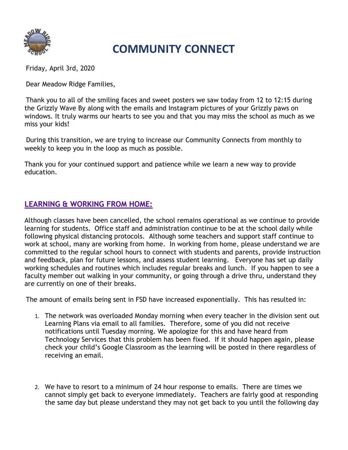

# COMMUNITY CONNECT

Friday, April 3rd, 2020

Dear Meadow Ridge Families,

Thank you to all of the smiling faces and sweet posters we saw today from 12 to 12:15 during the Grizzly Wave By along with the emails and Instagram pictures of your Grizzly paws on windows. It truly warms our hearts to see you and that you may miss the school as much as we miss your kids!

During this transition, we are trying to increase our Community Connects from monthly to weekly to keep you in the loop as much as possible.

Thank you for your continued support and patience while we learn a new way to provide education.

## LEARNING & WORKING FROM HOME:

Although classes have been cancelled, the school remains operational as we continue to provide learning for students. Office staff and administration continue to be at the school daily while following physical distancing protocols. Although some teachers and support staff continue to work at school, many are working from home. In working from home, please understand we are committed to the regular school hours to connect with students and parents, provide instruction and feedback, plan for future lessons, and assess student learning. Everyone has set up daily working schedules and routines which includes regular breaks and lunch. If you happen to see a faculty member out walking in your community, or going through a drive thru, understand they are currently on one of their breaks.

The amount of emails being sent in FSD have increased exponentially. This has resulted in:

- 1. The network was overloaded Monday morning when every teacher in the division sent out Learning Plans via email to all families. Therefore, some of you did not receive notifications until Tuesday morning. We apologize for this and have heard from Technology Services that this problem has been fixed. If it should happen again, please check your child's Google Classroom as the learning will be posted in there regardless of receiving an email.
- 2. We have to resort to a minimum of 24 hour response to emails. There are times we cannot simply get back to everyone immediately. Teachers are fairly good at responding the same day but please understand they may not get back to you until the following day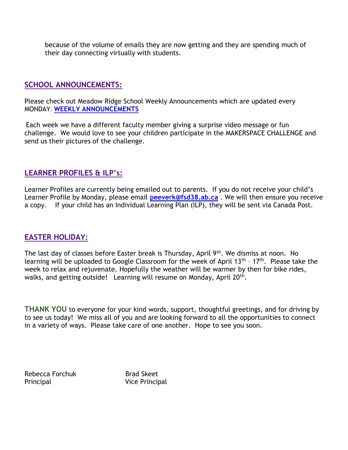because of the volume of emails they are now getting and they are spending much of their day connecting virtually with students.

#### SCHOOL ANNOUNCEMENTS:

Please check out Meadow Ridge School Weekly Announcements which are updated every MONDAY: WEEKLY ANNOUNCEMENTS

Each week we have a different faculty member giving a surprise video message or fun challenge. We would love to see your children participate in the MAKERSPACE CHALLENGE and send us their pictures of the challenge.

#### LEARNER PROFILES & ILP's:

Learner Profiles are currently being emailed out to parents. If you do not receive your child's Learner Profile by Monday, please email **peeverk@fsd38.ab.ca**. We will then ensure you receive a copy. If your child has an Individual Learning Plan (ILP), they will be sent via Canada Post.

### EASTER HOLIDAY:

The last day of classes before Easter break is Thursday, April 9<sup>th</sup>. We dismiss at noon. No learning will be uploaded to Google Classroom for the week of April 13<sup>th</sup> - 17<sup>th</sup>. Please take the week to relax and rejuvenate. Hopefully the weather will be warmer by then for bike rides, walks, and getting outside! Learning will resume on Monday, April 20<sup>th</sup>.

THANK YOU to everyone for your kind words, support, thoughtful greetings, and for driving by to see us today! We miss all of you and are looking forward to all the opportunities to connect in a variety of ways. Please take care of one another. Hope to see you soon.

Rebecca Forchuk Brad Skeet Principal Vice Principal